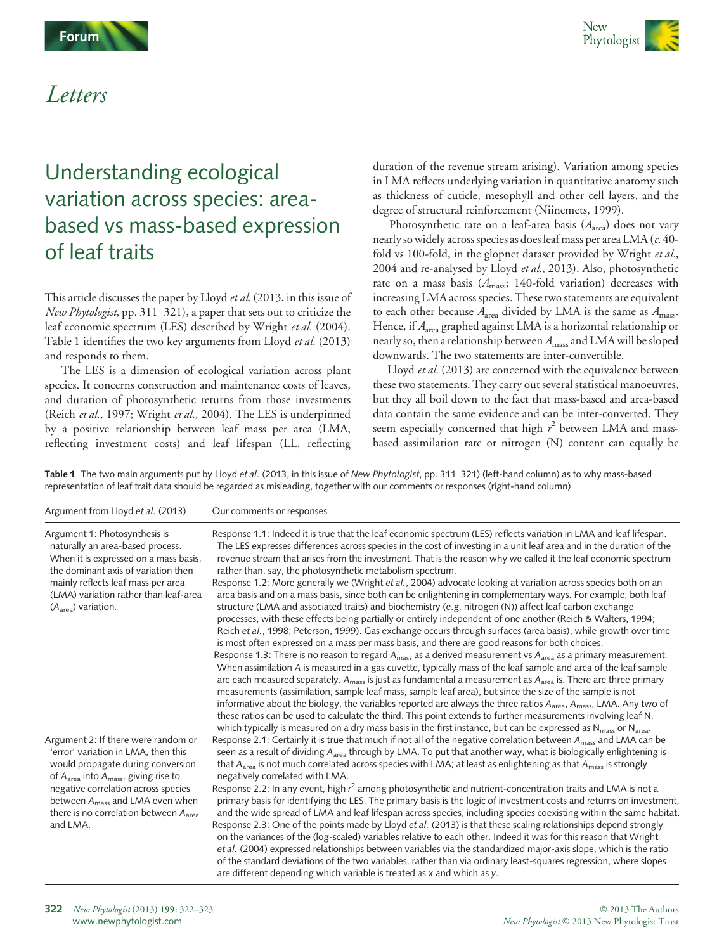

## Letters

## Understanding ecological variation across species: areabased vs mass-based expression of leaf traits

This article discusses the paper by Lloyd et al. (2013, in this issue of New Phytologist, pp. 311–321), a paper that sets out to criticize the leaf economic spectrum (LES) described by Wright et al. (2004). Table 1 identifies the two key arguments from Lloyd et al. (2013) and responds to them.

The LES is a dimension of ecological variation across plant species. It concerns construction and maintenance costs of leaves, and duration of photosynthetic returns from those investments (Reich et al., 1997; Wright et al., 2004). The LES is underpinned by a positive relationship between leaf mass per area (LMA, reflecting investment costs) and leaf lifespan (LL, reflecting

duration of the revenue stream arising). Variation among species in LMA reflects underlying variation in quantitative anatomy such as thickness of cuticle, mesophyll and other cell layers, and the degree of structural reinforcement (Niinemets, 1999).

Photosynthetic rate on a leaf-area basis  $(A<sub>area</sub>)$  does not vary nearly so widely across species as does leaf mass per area LMA (c. 40 fold vs 100-fold, in the glopnet dataset provided by Wright et al., 2004 and re-analysed by Lloyd et al., 2013). Also, photosynthetic rate on a mass basis  $(A<sub>mass</sub>; 140-fold variation) decreases with$ increasing LMA across species. These two statements are equivalent to each other because  $A_{\text{area}}$  divided by LMA is the same as  $A_{\text{mass}}$ . Hence, if  $A_{\text{area}}$  graphed against LMA is a horizontal relationship or nearly so, then a relationship between  $A<sub>mass</sub>$  and LMA will be sloped downwards. The two statements are inter-convertible.

Lloyd et al. (2013) are concerned with the equivalence between these two statements. They carry out several statistical manoeuvres, but they all boil down to the fact that mass-based and area-based data contain the same evidence and can be inter-converted. They seem especially concerned that high  $r^2$  between LMA and massbased assimilation rate or nitrogen (N) content can equally be

Table 1 The two main arguments put by Lloyd et al. (2013, in this issue of New Phytologist, pp. 311-321) (left-hand column) as to why mass-based representation of leaf trait data should be regarded as misleading, together with our comments or responses (right-hand column)

| Argument from Lloyd et al. (2013)                                                                                                                                                                                                                                                                          | Our comments or responses                                                                                                                                                                                                                                                                                                                                                                                                                                                                                                                                                                                                                                                                                                                                                                                                                                                                 |
|------------------------------------------------------------------------------------------------------------------------------------------------------------------------------------------------------------------------------------------------------------------------------------------------------------|-------------------------------------------------------------------------------------------------------------------------------------------------------------------------------------------------------------------------------------------------------------------------------------------------------------------------------------------------------------------------------------------------------------------------------------------------------------------------------------------------------------------------------------------------------------------------------------------------------------------------------------------------------------------------------------------------------------------------------------------------------------------------------------------------------------------------------------------------------------------------------------------|
| Argument 1: Photosynthesis is<br>naturally an area-based process.<br>When it is expressed on a mass basis,<br>the dominant axis of variation then<br>mainly reflects leaf mass per area<br>(LMA) variation rather than leaf-area<br>$(Aarea)$ variation.                                                   | Response 1.1: Indeed it is true that the leaf economic spectrum (LES) reflects variation in LMA and leaf lifespan.<br>The LES expresses differences across species in the cost of investing in a unit leaf area and in the duration of the<br>revenue stream that arises from the investment. That is the reason why we called it the leaf economic spectrum<br>rather than, say, the photosynthetic metabolism spectrum.                                                                                                                                                                                                                                                                                                                                                                                                                                                                 |
|                                                                                                                                                                                                                                                                                                            | Response 1.2: More generally we (Wright et al., 2004) advocate looking at variation across species both on an<br>area basis and on a mass basis, since both can be enlightening in complementary ways. For example, both leaf<br>structure (LMA and associated traits) and biochemistry (e.g. nitrogen (N)) affect leaf carbon exchange<br>processes, with these effects being partially or entirely independent of one another (Reich & Walters, 1994;<br>Reich et al., 1998; Peterson, 1999). Gas exchange occurs through surfaces (area basis), while growth over time<br>is most often expressed on a mass per mass basis, and there are good reasons for both choices.                                                                                                                                                                                                               |
|                                                                                                                                                                                                                                                                                                            | Response 1.3: There is no reason to regard A <sub>mass</sub> as a derived measurement vs A <sub>area</sub> as a primary measurement.<br>When assimilation A is measured in a gas cuvette, typically mass of the leaf sample and area of the leaf sample<br>are each measured separately. $A_{mass}$ is just as fundamental a measurement as $A_{area}$ is. There are three primary<br>measurements (assimilation, sample leaf mass, sample leaf area), but since the size of the sample is not<br>informative about the biology, the variables reported are always the three ratios A <sub>area</sub> , A <sub>mass</sub> , LMA. Any two of<br>these ratios can be used to calculate the third. This point extends to further measurements involving leaf N,<br>which typically is measured on a dry mass basis in the first instance, but can be expressed as $N_{mass}$ or $N_{area}$ . |
| Argument 2: If there were random or<br>'error' variation in LMA, then this<br>would propagate during conversion<br>of $A_{area}$ into $A_{mass}$ , giving rise to<br>negative correlation across species<br>between $A_{mass}$ and LMA even when<br>there is no correlation between $A_{area}$<br>and LMA. | Response 2.1: Certainly it is true that much if not all of the negative correlation between A <sub>mass</sub> and LMA can be<br>seen as a result of dividing $A_{area}$ through by LMA. To put that another way, what is biologically enlightening is<br>that A <sub>area</sub> is not much correlated across species with LMA; at least as enlightening as that A <sub>mass</sub> is strongly<br>negatively correlated with LMA.                                                                                                                                                                                                                                                                                                                                                                                                                                                         |
|                                                                                                                                                                                                                                                                                                            | Response 2.2: In any event, high r <sup>2</sup> among photosynthetic and nutrient-concentration traits and LMA is not a<br>primary basis for identifying the LES. The primary basis is the logic of investment costs and returns on investment,<br>and the wide spread of LMA and leaf lifespan across species, including species coexisting within the same habitat.<br>Response 2.3: One of the points made by Lloyd et al. (2013) is that these scaling relationships depend strongly                                                                                                                                                                                                                                                                                                                                                                                                  |
|                                                                                                                                                                                                                                                                                                            | on the variances of the (log-scaled) variables relative to each other. Indeed it was for this reason that Wright<br>et al. (2004) expressed relationships between variables via the standardized major-axis slope, which is the ratio<br>of the standard deviations of the two variables, rather than via ordinary least-squares regression, where slopes                                                                                                                                                                                                                                                                                                                                                                                                                                                                                                                                 |

are different depending which variable is treated as x and which as y.